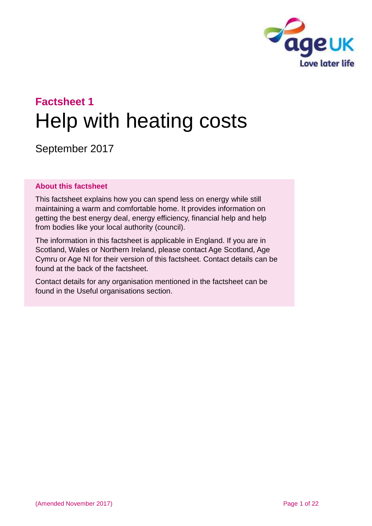

# **Factsheet 1** Help with heating costs

September 2017

#### **About this factsheet**

This factsheet explains how you can spend less on energy while still maintaining a warm and comfortable home. It provides information on getting the best energy deal, energy efficiency, financial help and help from bodies like your local authority (council).

The information in this factsheet is applicable in England. If you are in Scotland, Wales or Northern Ireland, please [contact Age Scotland, Age](#page-20-0)  [Cymru or Age NI](#page-20-0) for their version of this factsheet. Contact details can be found at the back of the factsheet.

Contact details for any organisation mentioned in the factsheet can be found in the [Useful organisations](#page-18-0) section.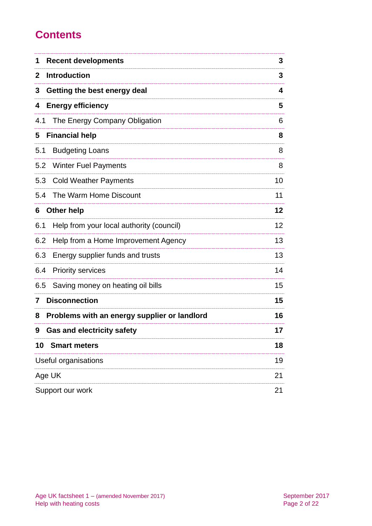# **Contents**

| <b>Recent developments</b><br>1                   | 3  |
|---------------------------------------------------|----|
| <b>Introduction</b><br>2                          | 3  |
| Getting the best energy deal<br>3                 | 4  |
| <b>Energy efficiency</b><br>4                     | 5  |
| The Energy Company Obligation<br>4.1              | 6  |
| <b>Financial help</b><br>5                        | 8  |
| <b>Budgeting Loans</b><br>5.1                     | 8  |
| <b>Winter Fuel Payments</b><br>5.2                | 8  |
| 5.3<br><b>Cold Weather Payments</b>               | 10 |
| The Warm Home Discount<br>5.4                     | 11 |
| <b>Other help</b><br>6                            | 12 |
| Help from your local authority (council)<br>6.1   | 12 |
| Help from a Home Improvement Agency<br>6.2        | 13 |
| Energy supplier funds and trusts<br>6.3           | 13 |
| <b>Priority services</b><br>6.4                   | 14 |
| Saving money on heating oil bills<br>6.5          | 15 |
| <b>Disconnection</b><br>7                         | 15 |
| Problems with an energy supplier or landlord<br>8 | 16 |
| <b>Gas and electricity safety</b><br>9            | 17 |
| 10<br><b>Smart meters</b>                         | 18 |
| Useful organisations                              | 19 |
| Age UK                                            | 21 |
| Support our work                                  | 21 |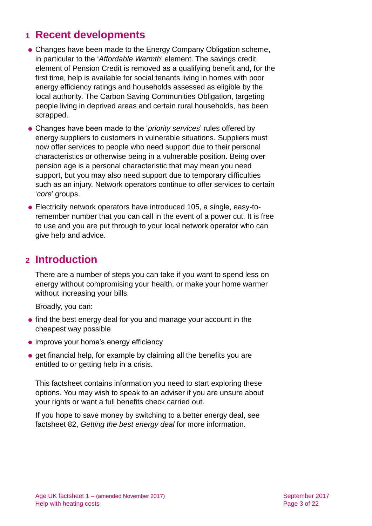# <span id="page-2-0"></span>**1 Recent developments**

- Changes have been made to the Energy Company Obligation scheme, in particular to the '*Affordable Warmth*' element. The savings credit element of Pension Credit is removed as a qualifying benefit and, for the first time, help is available for social tenants living in homes with poor energy efficiency ratings and households assessed as eligible by the local authority. The Carbon Saving Communities Obligation, targeting people living in deprived areas and certain rural households, has been scrapped.
- Changes have been made to the '*priority services*' rules offered by energy suppliers to customers in vulnerable situations. Suppliers must now offer services to people who need support due to their personal characteristics or otherwise being in a vulnerable position. Being over pension age is a personal characteristic that may mean you need support, but you may also need support due to temporary difficulties such as an injury. Network operators continue to offer services to certain '*core*' groups.
- Electricity network operators have introduced 105, a single, easy-toremember number that you can call in the event of a power cut. It is free to use and you are put through to your local network operator who can give help and advice.

# <span id="page-2-1"></span>**2 Introduction**

There are a number of steps you can take if you want to spend less on energy without compromising your health, or make your home warmer without increasing your bills.

Broadly, you can:

- find the best energy deal for you and manage your account in the cheapest way possible
- improve your home's energy efficiency
- $\bullet$  get financial help, for example by claiming all the benefits you are entitled to or getting help in a crisis.

This factsheet contains information you need to start exploring these options. You may wish to speak to an adviser if you are unsure about your rights or want a full benefits check carried out.

If you hope to save money by switching to a better energy deal, see factsheet 82, *[Getting the best energy deal](http://www.ageuk.org.uk/Documents/EN-GB/Factsheets/FS82_Getting_the_best_energy_deal_fcs.pdf?dtrk=true)* for more information.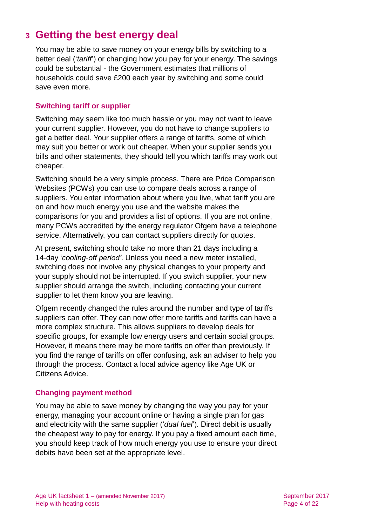# <span id="page-3-0"></span>**3 Getting the best energy deal**

You may be able to save money on your energy bills by switching to a better deal ('*tariff*') or changing how you pay for your energy. The savings could be substantial - the Government estimates that millions of households could save £200 each year by switching and some could save even more.

# **Switching tariff or supplier**

Switching may seem like too much hassle or you may not want to leave your current supplier. However, you do not have to change suppliers to get a better deal. Your supplier offers a range of tariffs, some of which may suit you better or work out cheaper. When your supplier sends you bills and other statements, they should tell you which tariffs may work out cheaper.

Switching should be a very simple process. There are Price Comparison Websites (PCWs) you can use to compare deals across a range of suppliers. You enter information about where you live, what tariff you are on and how much energy you use and the website makes the comparisons for you and provides a list of options. If you are not online, many PCWs accredited by the energy regulator Ofgem have a telephone service. Alternatively, you can contact suppliers directly for quotes.

At present, switching should take no more than 21 days including a 14-day '*cooling-off period'*. Unless you need a new meter installed, switching does not involve any physical changes to your property and your supply should not be interrupted. If you switch supplier, your new supplier should arrange the switch, including contacting your current supplier to let them know you are leaving.

Ofgem recently changed the rules around the number and type of tariffs suppliers can offer. They can now offer more tariffs and tariffs can have a more complex structure. This allows suppliers to develop deals for specific groups, for example low energy users and certain social groups. However, it means there may be more tariffs on offer than previously. If you find the range of tariffs on offer confusing, ask an adviser to help you through the process. Contact a local advice agency like [Age UK](#page-20-0) or [Citizens Advice.](#page-18-0)

#### **Changing payment method**

You may be able to save money by changing the way you pay for your energy, managing your account online or having a single plan for gas and electricity with the same supplier ('*dual fuel*'). Direct debit is usually the cheapest way to pay for energy. If you pay a fixed amount each time, you should keep track of how much energy you use to ensure your direct debits have been set at the appropriate level.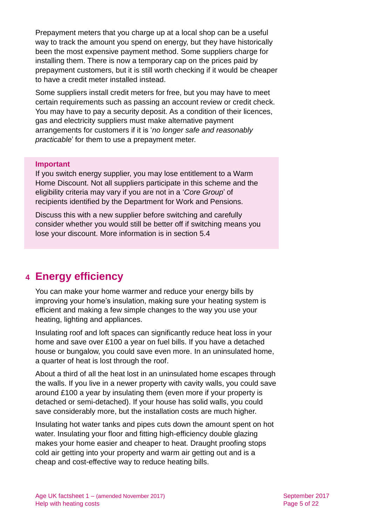Prepayment meters that you charge up at a local shop can be a useful way to track the amount you spend on energy, but they have historically been the most expensive payment method. Some suppliers charge for installing them. There is now a temporary cap on the prices paid by prepayment customers, but it is still worth checking if it would be cheaper to have a credit meter installed instead.

Some suppliers install credit meters for free, but you may have to meet certain requirements such as passing an account review or credit check. You may have to pay a security deposit. As a condition of their licences, gas and electricity suppliers must make alternative payment arrangements for customers if it is '*no longer safe and reasonably practicable*' for them to use a prepayment meter.

#### **Important**

If you switch energy supplier, you may lose entitlement to a Warm Home Discount. Not all suppliers participate in this scheme and the eligibility criteria may vary if you are not in a '*Core Group*' of recipients identified by the Department for Work and Pensions.

Discuss this with a new supplier before switching and carefully consider whether you would still be better off if switching means you lose your discount. More information is in [section 5.4](#page-10-0)

# <span id="page-4-0"></span>**4 Energy efficiency**

You can make your home warmer and reduce your energy bills by improving your home's insulation, making sure your heating system is efficient and making a few simple changes to the way you use your heating, lighting and appliances.

Insulating roof and loft spaces can significantly reduce heat loss in your home and save over £100 a year on fuel bills. If you have a detached house or bungalow, you could save even more. In an uninsulated home, a quarter of heat is lost through the roof.

About a third of all the heat lost in an uninsulated home escapes through the walls. If you live in a newer property with cavity walls, you could save around £100 a year by insulating them (even more if your property is detached or semi-detached). If your house has solid walls, you could save considerably more, but the installation costs are much higher.

Insulating hot water tanks and pipes cuts down the amount spent on hot water. Insulating your floor and fitting high-efficiency double glazing makes your home easier and cheaper to heat. Draught proofing stops cold air getting into your property and warm air getting out and is a cheap and cost-effective way to reduce heating bills.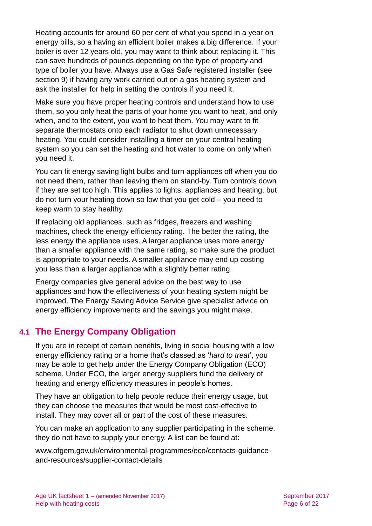Heating accounts for around 60 per cent of what you spend in a year on energy bills, so a having an efficient boiler makes a big difference. If your boiler is over 12 years old, you may want to think about replacing it. This can save hundreds of pounds depending on the type of property and type of boiler you have. Always use a Gas Safe registered installer (see [section 9\)](#page-16-0) if having any work carried out on a gas heating system and ask the installer for help in setting the controls if you need it.

Make sure you have proper heating controls and understand how to use them, so you only heat the parts of your home you want to heat, and only when, and to the extent, you want to heat them. You may want to fit separate thermostats onto each radiator to shut down unnecessary heating. You could consider installing a timer on your central heating system so you can set the heating and hot water to come on only when you need it.

You can fit energy saving light bulbs and turn appliances off when you do not need them, rather than leaving them on stand-by. Turn controls down if they are set too high. This applies to lights, appliances and heating, but do not turn your heating down so low that you get cold – you need to keep warm to stay healthy.

If replacing old appliances, such as fridges, freezers and washing machines, check the energy efficiency rating. The better the rating, the less energy the appliance uses. A larger appliance uses more energy than a smaller appliance with the same rating, so make sure the product is appropriate to your needs. A smaller appliance may end up costing you less than a larger appliance with a slightly better rating.

Energy companies give general advice on the best way to use appliances and how the effectiveness of your heating system might be improved. The Energy Saving Advice Service give specialist advice on energy efficiency improvements and the savings you might make.

# **4.1 The Energy Company Obligation**

If you are in receipt of certain benefits, living in social housing with a low energy efficiency rating or a home that's classed as '*hard to treat*', you may be able to get help under the Energy Company Obligation (ECO) scheme. Under ECO, the larger energy suppliers fund the delivery of heating and energy efficiency measures in people's homes.

They have an obligation to help people reduce their energy usage, but they can choose the measures that would be most cost-effective to install. They may cover all or part of the cost of these measures.

You can make an application to any supplier participating in the scheme, they do not have to supply your energy. A list can be found at:

[www.ofgem.gov.uk/environmental-programmes/eco/contacts-guidance](http://www.ofgem.gov.uk/environmental-programmes/eco/contacts-guidance-and-resources/supplier-contact-details)[and-resources/supplier-contact-details](http://www.ofgem.gov.uk/environmental-programmes/eco/contacts-guidance-and-resources/supplier-contact-details)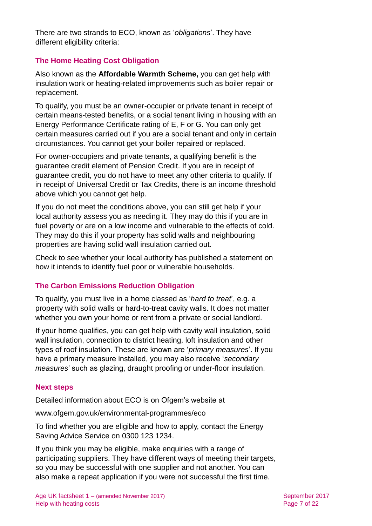There are two strands to ECO, known as '*obligations*'. They have different eligibility criteria:

# **The Home Heating Cost Obligation**

Also known as the **Affordable Warmth Scheme,** you can get help with insulation work or heating-related improvements such as boiler repair or replacement.

To qualify, you must be an owner-occupier or private tenant in receipt of certain means-tested benefits, or a social tenant living in housing with an Energy Performance Certificate rating of E, F or G. You can only get certain measures carried out if you are a social tenant and only in certain circumstances. You cannot get your boiler repaired or replaced.

For owner-occupiers and private tenants, a qualifying benefit is the guarantee credit element of Pension Credit. If you are in receipt of guarantee credit, you do not have to meet any other criteria to qualify. If in receipt of Universal Credit or Tax Credits, there is an income threshold above which you cannot get help.

If you do not meet the conditions above, you can still get help if your local authority assess you as needing it. They may do this if you are in fuel poverty or are on a low income and vulnerable to the effects of cold. They may do this if your property has solid walls and neighbouring properties are having solid wall insulation carried out.

Check to see whether your local authority has published a statement on how it intends to identify fuel poor or vulnerable households.

# **The Carbon Emissions Reduction Obligation**

To qualify, you must live in a home classed as '*hard to treat*', e.g. a property with solid walls or hard-to-treat cavity walls. It does not matter whether you own your home or rent from a private or social landlord.

If your home qualifies, you can get help with cavity wall insulation, solid wall insulation, connection to district heating, loft insulation and other types of roof insulation. These are known are '*primary measures*'. If you have a primary measure installed, you may also receive '*secondary measures*' such as glazing, draught proofing or under-floor insulation.

# **Next steps**

Detailed information about ECO is on Ofgem's website at

[www.ofgem.gov.uk/environmental-programmes/eco](http://www.ofgem.gov.uk/environmental-programmes/eco)

To find whether you are eligible and how to apply, contact the Energy Saving Advice Service on 0300 123 1234.

If you think you may be eligible, make enquiries with a range of participating suppliers. They have different ways of meeting their targets, so you may be successful with one supplier and not another. You can also make a repeat application if you were not successful the first time.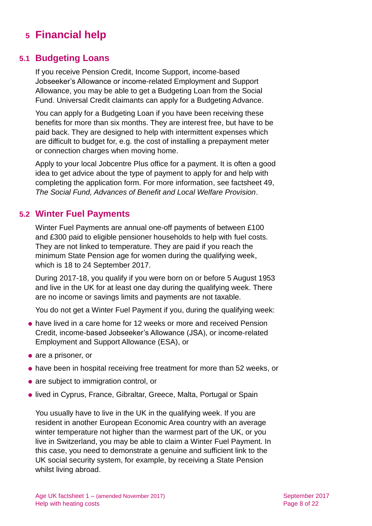# <span id="page-7-0"></span>**5 Financial help**

# **5.1 Budgeting Loans**

If you receive Pension Credit, Income Support, income-based Jobseeker's Allowance or income-related Employment and Support Allowance, you may be able to get a Budgeting Loan from the Social Fund. Universal Credit claimants can apply for a Budgeting Advance.

You can apply for a Budgeting Loan if you have been receiving these benefits for more than six months. They are interest free, but have to be paid back. They are designed to help with intermittent expenses which are difficult to budget for, e.g. the cost of installing a prepayment meter or connection charges when moving home.

Apply to your local Jobcentre Plus office for a payment. It is often a good idea to get advice about the type of payment to apply for and help with completing the application form. For more information, see factsheet 49, *[The Social Fund, Advances of Benefit and Local Welfare Provision](http://www.ageuk.org.uk/Documents/EN-GB/Factsheets/FS49_The_Social_Fund,_Advances_of_Benefit_and_Local_Welfare_Provision_fcs.pdf?dtrk=true)*.

# **5.2 Winter Fuel Payments**

Winter Fuel Payments are annual one-off payments of between £100 and £300 paid to eligible pensioner households to help with fuel costs. They are not linked to temperature. They are paid if you reach the minimum State Pension age for women during the qualifying week, which is 18 to 24 September 2017.

During 2017-18, you qualify if you were born on or before 5 August 1953 and live in the UK for at least one day during the qualifying week. There are no income or savings limits and payments are not taxable.

You do not get a Winter Fuel Payment if you, during the qualifying week:

- have lived in a care home for 12 weeks or more and received Pension Credit, income-based Jobseeker's Allowance (JSA), or income-related Employment and Support Allowance (ESA), or
- are a prisoner, or
- have been in hospital receiving free treatment for more than 52 weeks, or
- are subject to immigration control, or
- **.** lived in Cyprus, France, Gibraltar, Greece, Malta, Portugal or Spain

You usually have to live in the UK in the qualifying week. If you are resident in another European Economic Area country with an average winter temperature not higher than the warmest part of the UK, or you live in Switzerland, you may be able to claim a Winter Fuel Payment. In this case, you need to demonstrate a genuine and sufficient link to the UK social security system, for example, by receiving a State Pension whilst living abroad.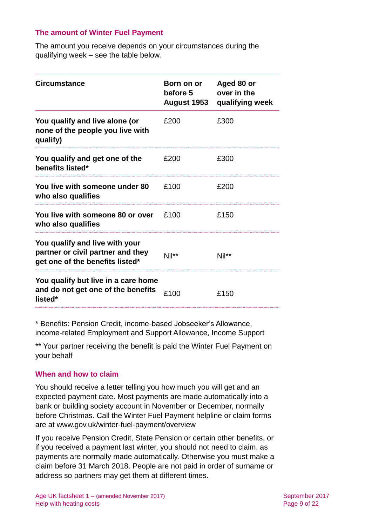#### **The amount of Winter Fuel Payment**

The amount you receive depends on your circumstances during the qualifying week – see the table below.

| <b>Circumstance</b>                                                                                    | Born on or<br>before 5<br><b>August 1953</b> | Aged 80 or<br>over in the<br>qualifying week |
|--------------------------------------------------------------------------------------------------------|----------------------------------------------|----------------------------------------------|
| You qualify and live alone (or<br>none of the people you live with<br>qualify)                         | £200                                         | £300                                         |
| You qualify and get one of the<br>benefits listed*                                                     | £200                                         | £300                                         |
| You live with someone under 80<br>who also qualifies                                                   | £100                                         | £200                                         |
| You live with someone 80 or over<br>who also qualifies                                                 | £100                                         | £150                                         |
| You qualify and live with your<br>partner or civil partner and they<br>get one of the benefits listed* | Nil**                                        | Nil**                                        |
| You qualify but live in a care home<br>and do not get one of the benefits<br>listed*                   | £100                                         | £150                                         |

\* Benefits: Pension Credit, income-based Jobseeker's Allowance, income-related Employment and Support Allowance, Income Support

\*\* Your partner receiving the benefit is paid the Winter Fuel Payment on your behalf

#### **When and how to claim**

You should receive a letter telling you how much you will get and an expected payment date. Most payments are made automatically into a bank or building society account in November or December, normally before Christmas. Call the Winter Fuel Payment helpline or claim forms are at [www.gov.uk/winter-fuel-payment/overview](http://www.gov.uk/winter-fuel-payment/overview)

If you receive Pension Credit, State Pension or certain other benefits, or if you received a payment last winter, you should not need to claim, as payments are normally made automatically. Otherwise you must make a claim before 31 March 2018. People are not paid in order of surname or address so partners may get them at different times.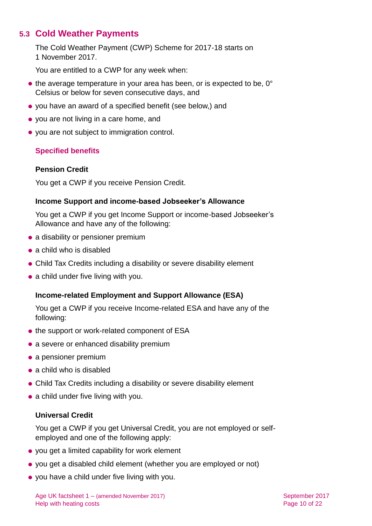# **5.3 Cold Weather Payments**

The Cold Weather Payment (CWP) Scheme for 2017-18 starts on 1 November 2017.

You are entitled to a CWP for any week when:

- $\bullet$  the average temperature in your area has been, or is expected to be, 0 $\degree$ Celsius or below for seven consecutive days, and
- you have an award of a specified benefit (see below,) and
- you are not living in a care home, and
- you are not subject to immigration control.

# **Specified benefits**

# **Pension Credit**

You get a CWP if you receive Pension Credit.

### **Income Support and income-based Jobseeker's Allowance**

You get a CWP if you get Income Support or income-based Jobseeker's Allowance and have any of the following:

- a disability or pensioner premium
- a child who is disabled
- Child Tax Credits including a disability or severe disability element
- a child under five living with you.

# **Income-related Employment and Support Allowance (ESA)**

You get a CWP if you receive Income-related ESA and have any of the following:

- the support or work-related component of ESA
- a severe or enhanced disability premium
- a pensioner premium
- a child who is disabled
- Child Tax Credits including a disability or severe disability element
- a child under five living with you.

# **Universal Credit**

You get a CWP if you get Universal Credit, you are not employed or selfemployed and one of the following apply:

- you get a limited capability for work element
- you get a disabled child element (whether you are employed or not)
- you have a child under five living with you.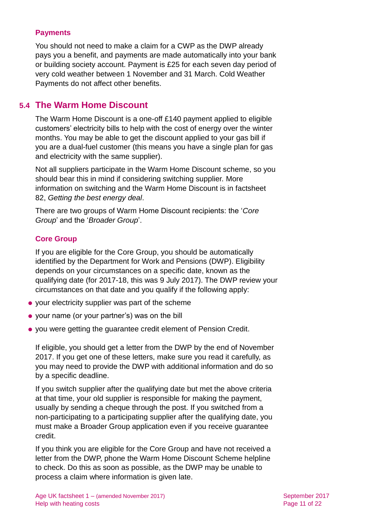#### **Payments**

You should not need to make a claim for a CWP as the DWP already pays you a benefit, and payments are made automatically into your bank or building society account. Payment is £25 for each seven day period of very cold weather between 1 November and 31 March. Cold Weather Payments do not affect other benefits.

# <span id="page-10-0"></span>**5.4 The Warm Home Discount**

The Warm Home Discount is a one-off £140 payment applied to eligible customers' electricity bills to help with the cost of energy over the winter months. You may be able to get the discount applied to your gas bill if you are a dual-fuel customer (this means you have a single plan for gas and electricity with the same supplier).

Not all suppliers participate in the Warm Home Discount scheme, so you should bear this in mind if considering switching supplier. More information on switching and the Warm Home Discount is in [factsheet](http://www.ageuk.org.uk/Documents/EN-GB/Factsheets/FS82_Getting_the_best_energy_deal_fcs.pdf?dtrk=true)  82, *[Getting the best energy deal](http://www.ageuk.org.uk/Documents/EN-GB/Factsheets/FS82_Getting_the_best_energy_deal_fcs.pdf?dtrk=true)*.

There are two groups of Warm Home Discount recipients: the '*Core Group*' and the '*Broader Group*'.

### **Core Group**

If you are eligible for the Core Group, you should be automatically identified by the Department for Work and Pensions (DWP). Eligibility depends on your circumstances on a specific date, known as the qualifying date (for 2017-18, this was 9 July 2017). The DWP review your circumstances on that date and you qualify if the following apply:

- your electricity supplier was part of the scheme
- your name (or your partner's) was on the bill
- you were getting the guarantee credit element of [Pension Credit.](https://www.gov.uk/pension-credit/)

If eligible, you should get a letter from the DWP by the end of November 2017. If you get one of these letters, make sure you read it carefully, as you may need to provide the DWP with additional information and do so by a specific deadline.

If you switch supplier after the qualifying date but met the above criteria at that time, your old supplier is responsible for making the payment, usually by sending a cheque through the post. If you switched from a non-participating to a participating supplier after the qualifying date, you must make a Broader Group application even if you receive guarantee credit.

If you think you are eligible for the Core Group and have not received a letter from the DWP, phone the Warm Home Discount Scheme helpline to check. Do this as soon as possible, as the DWP may be unable to process a claim where information is given late.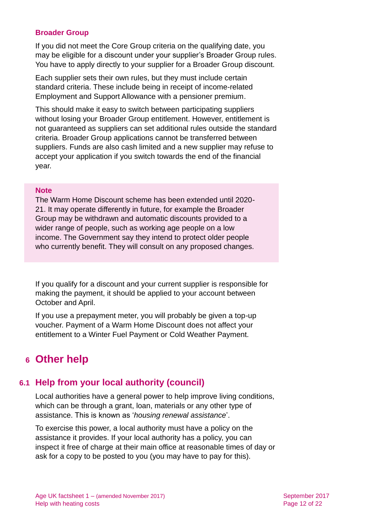### **Broader Group**

If you did not meet the Core Group criteria on the qualifying date, you may be eligible for a discount under your supplier's Broader Group rules. You have to apply directly to your supplier for a Broader Group discount.

Each supplier sets their own rules, but they must include certain standard criteria. These include being in receipt of income-related Employment and Support Allowance with a pensioner premium.

This should make it easy to switch between participating suppliers without losing your Broader Group entitlement. However, entitlement is not guaranteed as suppliers can set additional rules outside the standard criteria. Broader Group applications cannot be transferred between suppliers. Funds are also cash limited and a new supplier may refuse to accept your application if you switch towards the end of the financial year.

#### **Note**

The Warm Home Discount scheme has been extended until 2020- 21. It may operate differently in future, for example the Broader Group may be withdrawn and automatic discounts provided to a wider range of people, such as working age people on a low income. The Government say they intend to protect older people who currently benefit. They will consult on any proposed changes.

If you qualify for a discount and your current supplier is responsible for making the payment, it should be applied to your account between October and April.

If you use a prepayment meter, you will probably be given a top-up voucher. Payment of a Warm Home Discount does not affect your entitlement to a Winter Fuel Payment or Cold Weather Payment.

# <span id="page-11-0"></span>**6 Other help**

# **6.1 Help from your local authority (council)**

Local authorities have a general power to help improve living conditions, which can be through a grant, loan, materials or any other type of assistance. This is known as '*housing renewal assistance*'.

To exercise this power, a local authority must have a policy on the assistance it provides. If your local authority has a policy, you can inspect it free of charge at their main office at reasonable times of day or ask for a copy to be posted to you (you may have to pay for this).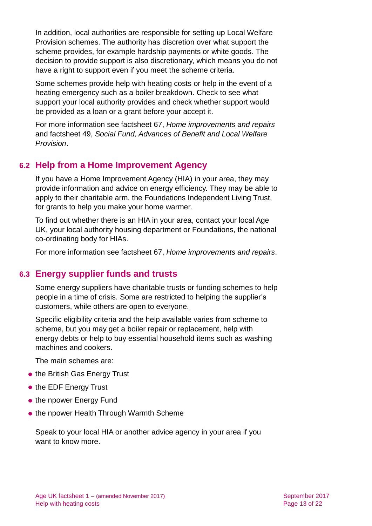In addition, local authorities are responsible for setting up Local Welfare Provision schemes. The authority has discretion over what support the scheme provides, for example hardship payments or white goods. The decision to provide support is also discretionary, which means you do not have a right to support even if you meet the scheme criteria.

Some schemes provide help with heating costs or help in the event of a heating emergency such as a boiler breakdown. Check to see what support your local authority provides and check whether support would be provided as a loan or a grant before your accept it.

For more information see factsheet 67, *[Home improvements and repairs](http://www.ageuk.org.uk/Documents/EN-GB/Factsheets/FS67_Home_improvements_and_repairs_fcs.pdf?dtrk=true)* and factsheet 49, *[Social Fund, Advances of Benefit and Local Welfare](http://www.ageuk.org.uk/Documents/EN-GB/Factsheets/FS49_The_Social_Fund,_Advances_of_Benefit_and_Local_Welfare_Provision_fcs.pdf?dtrk=true)  [Provision](http://www.ageuk.org.uk/Documents/EN-GB/Factsheets/FS49_The_Social_Fund,_Advances_of_Benefit_and_Local_Welfare_Provision_fcs.pdf?dtrk=true)*.

# **6.2 Help from a Home Improvement Agency**

If you have a Home Improvement Agency (HIA) in your area, they may provide information and advice on energy efficiency. They may be able to apply to their charitable arm, the Foundations Independent Living Trust, for grants to help you make your home warmer.

To find out whether there is an HIA in your area, contact your local [Age](#page-20-0)  [UK,](#page-20-0) your local authority housing department or [Foundations,](#page-19-0) the national co-ordinating body for HIAs.

For more information see factsheet 67, *[Home improvements and repairs](http://www.ageuk.org.uk/Documents/EN-GB/Factsheets/FS67_Home_improvements_and_repairs_fcs.pdf?dtrk=true)*.

# **6.3 Energy supplier funds and trusts**

Some energy suppliers have charitable trusts or funding schemes to help people in a time of crisis. Some are restricted to helping the supplier's customers, while others are open to everyone.

Specific eligibility criteria and the help available varies from scheme to scheme, but you may get a boiler repair or replacement, help with energy debts or help to buy essential household items such as washing machines and cookers.

The main schemes are:

- the [British Gas Energy Trust](http://www.britishgasenergytrust.org.uk/)
- the [EDF Energy Trust](http://www.edfenergytrust.org.uk/)
- the [npower Energy Fund](http://www.npowerenergyfund.com/)
- the [npower Health Through Warmth Scheme](https://www.npower.com/health_through_warmth/)

Speak to your local HIA or another advice agency in your area if you want to know more.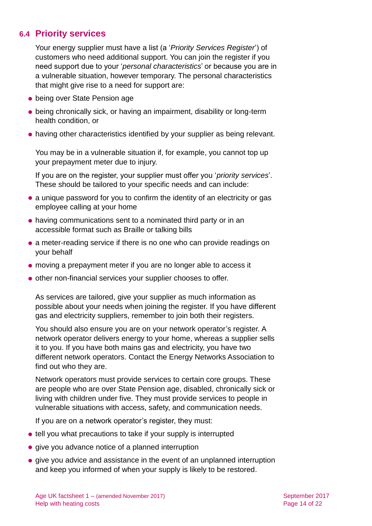# **6.4 Priority services**

Your energy supplier must have a list (a '*Priority Services Register*') of customers who need additional support. You can join the register if you need support due to your '*personal characteristics*' or because you are in a vulnerable situation, however temporary. The personal characteristics that might give rise to a need for support are:

- being over State Pension age
- being chronically sick, or having an impairment, disability or long-term health condition, or
- having other characteristics identified by your supplier as being relevant.

You may be in a vulnerable situation if, for example, you cannot top up your prepayment meter due to injury.

If you are on the register, your supplier must offer you '*priority services*'. These should be tailored to your specific needs and can include:

- a unique password for you to confirm the identity of an electricity or gas employee calling at your home
- having communications sent to a nominated third party or in an accessible format such as Braille or talking bills
- a meter-reading service if there is no one who can provide readings on your behalf
- moving a prepayment meter if you are no longer able to access it
- other non-financial services your supplier chooses to offer.

As services are tailored, give your supplier as much information as possible about your needs when joining the register. If you have different gas and electricity suppliers, remember to join both their registers.

You should also ensure you are on your network operator's register. A network operator delivers energy to your home, whereas a supplier sells it to you. If you have both mains gas and electricity, you have two different network operators. Contact the Energy Networks Association to find out who they are.

Network operators must provide services to certain core groups. These are people who are over State Pension age, disabled, chronically sick or living with children under five. They must provide services to people in vulnerable situations with access, safety, and communication needs.

If you are on a network operator's register, they must:

- tell you what precautions to take if your supply is interrupted
- give you advance notice of a planned interruption
- **•** give you advice and assistance in the event of an unplanned interruption and keep you informed of when your supply is likely to be restored.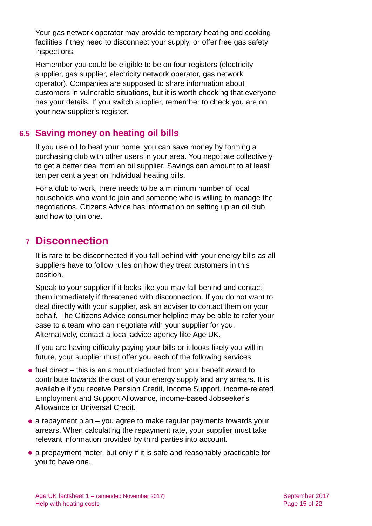Your gas network operator may provide temporary heating and cooking facilities if they need to disconnect your supply, or offer free gas safety inspections.

Remember you could be eligible to be on four registers (electricity supplier, gas supplier, electricity network operator, gas network operator). Companies are supposed to share information about customers in vulnerable situations, but it is worth checking that everyone has your details. If you switch supplier, remember to check you are on your new supplier's register.

# **6.5 Saving money on heating oil bills**

If you use oil to heat your home, you can save money by forming a purchasing club with other users in your area. You negotiate collectively to get a better deal from an oil supplier. Savings can amount to at least ten per cent a year on individual heating bills.

For a club to work, there needs to be a minimum number of local households who want to join and someone who is willing to manage the negotiations. [Citizens Advice](#page-18-0) has information on setting up an oil club and how to join one.

# <span id="page-14-0"></span>**7 Disconnection**

It is rare to be disconnected if you fall behind with your energy bills as all suppliers have to follow rules on how they treat customers in this position.

Speak to your supplier if it looks like you may fall behind and contact them immediately if threatened with disconnection. If you do not want to deal directly with your supplier, ask an adviser to contact them on your behalf. The [Citizens Advice consumer](#page-18-0) helpline may be able to refer your case to a team who can negotiate with your supplier for you. Alternatively, contact a local advice agency like [Age UK.](#page-20-0)

If you are having difficulty paying your bills or it looks likely you will in future, your supplier must offer you each of the following services:

- $\bullet$  fuel direct this is an amount deducted from your benefit award to contribute towards the cost of your energy supply and any arrears. It is available if you receive Pension Credit, Income Support, income-related Employment and Support Allowance, income-based Jobseeker's Allowance or Universal Credit.
- $\bullet$  a repayment plan you agree to make regular payments towards your arrears. When calculating the repayment rate, your supplier must take relevant information provided by third parties into account.
- a prepayment meter, but only if it is safe and reasonably practicable for you to have one.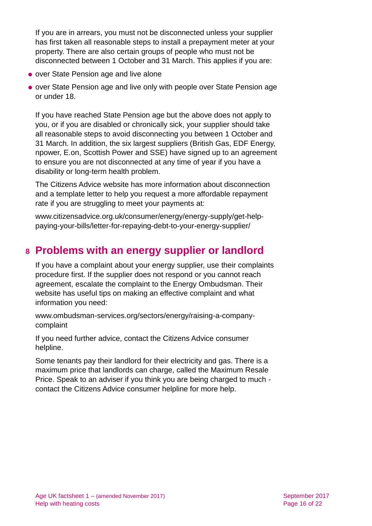If you are in arrears, you must not be disconnected unless your supplier has first taken all reasonable steps to install a prepayment meter at your property. There are also certain groups of people who must not be disconnected between 1 October and 31 March. This applies if you are:

- over State Pension age and live alone
- over State Pension age and live only with people over State Pension age or under 18.

If you have reached State Pension age but the above does not apply to you, or if you are disabled or chronically sick, your supplier should take all reasonable steps to avoid disconnecting you between 1 October and 31 March. In addition, the six largest suppliers (British Gas, EDF Energy, npower, E.on, Scottish Power and SSE) have signed up to an agreement to ensure you are not disconnected at any time of year if you have a disability or long-term health problem.

The [Citizens Advice](#page-18-0) website has more information about disconnection and a template letter to help you request a more affordable repayment rate if you are struggling to meet your payments at:

[www.citizensadvice.org.uk/consumer/energy/energy-supply/get-help](http://www.citizensadvice.org.uk/consumer/energy/energy-supply/get-help-paying-your-bills/letter-for-repaying-debt-to-your-energy-supplier/)[paying-your-bills/letter-for-repaying-debt-to-your-energy-supplier/](http://www.citizensadvice.org.uk/consumer/energy/energy-supply/get-help-paying-your-bills/letter-for-repaying-debt-to-your-energy-supplier/)

# <span id="page-15-0"></span>**8 Problems with an energy supplier or landlord**

If you have a complaint about your energy supplier, use their complaints procedure first. If the supplier does not respond or you cannot reach agreement, escalate the complaint to the [Energy Ombudsman.](#page-18-1) Their website has useful tips on making an effective complaint and what information you need:

[www.ombudsman-services.org/sectors/energy/raising-a-company](http://www.ombudsman-services.org/sectors/energy/raising-a-company-complaint)[complaint](http://www.ombudsman-services.org/sectors/energy/raising-a-company-complaint)

If you need further advice, contact the [Citizens Advice consumer](#page-18-0)  [helpline.](#page-18-0)

Some tenants pay their landlord for their electricity and gas. There is a maximum price that landlords can charge, called the Maximum Resale Price. Speak to an adviser if you think you are being charged to much contact the [Citizens Advice consumer](#page-18-0) helpline for more help.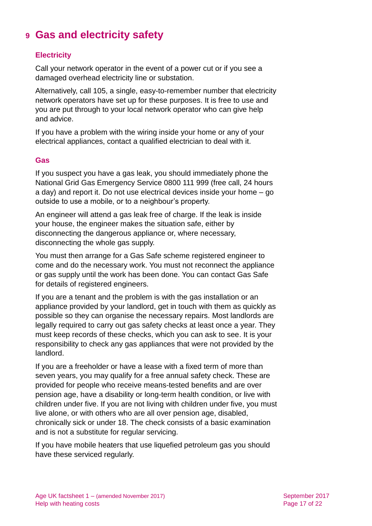# <span id="page-16-0"></span>**9 Gas and electricity safety**

### **Electricity**

Call your network operator in the event of a power cut or if you see a damaged overhead electricity line or substation.

Alternatively, call 105, a single, easy-to-remember number that electricity network operators have set up for these purposes. It is free to use and you are put through to your local network operator who can give help and advice.

If you have a problem with the wiring inside your home or any of your electrical appliances, contact a qualified electrician to deal with it.

#### **Gas**

If you suspect you have a gas leak, you should immediately phone the National Grid Gas Emergency Service 0800 111 999 (free call, 24 hours a day) and report it. Do not use electrical devices inside your home – go outside to use a mobile, or to a neighbour's property.

An engineer will attend a gas leak free of charge. If the leak is inside your house, the engineer makes the situation safe, either by disconnecting the dangerous appliance or, where necessary, disconnecting the whole gas supply.

You must then arrange for a Gas Safe scheme registered engineer to come and do the necessary work. You must not reconnect the appliance or gas supply until the work has been done. You can contact [Gas Safe](#page-19-1) for details of registered engineers.

If you are a tenant and the problem is with the gas installation or an appliance provided by your landlord, get in touch with them as quickly as possible so they can organise the necessary repairs. Most landlords are legally required to carry out gas safety checks at least once a year. They must keep records of these checks, which you can ask to see. It is your responsibility to check any gas appliances that were not provided by the landlord.

If you are a freeholder or have a lease with a fixed term of more than seven years, you may qualify for a free annual safety check. These are provided for people who receive means-tested benefits and are over pension age, have a disability or long-term health condition, or live with children under five. If you are not living with children under five, you must live alone, or with others who are all over pension age, disabled, chronically sick or under 18. The check consists of a basic examination and is not a substitute for regular servicing.

If you have mobile heaters that use liquefied petroleum gas you should have these serviced regularly.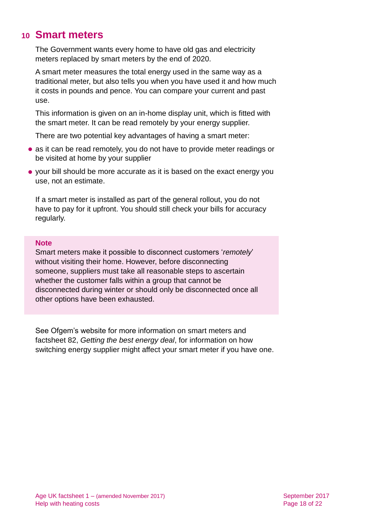# <span id="page-17-0"></span>**10 Smart meters**

The Government wants every home to have old gas and electricity meters replaced by smart meters by the end of 2020.

A smart meter measures the total energy used in the same way as a traditional meter, but also tells you when you have used it and how much it costs in pounds and pence. You can compare your current and past use.

This information is given on an in-home display unit, which is fitted with the smart meter. It can be read remotely by your energy supplier.

There are two potential key advantages of having a smart meter:

- as it can be read remotely, you do not have to provide meter readings or be visited at home by your supplier
- your bill should be more accurate as it is based on the exact energy you use, not an estimate.

If a smart meter is installed as part of the general rollout, you do not have to pay for it upfront. You should still check your bills for accuracy regularly.

#### **Note**

Smart meters make it possible to disconnect customers '*remotely*' without visiting their home. However, before disconnecting someone, suppliers must take all reasonable steps to ascertain whether the customer falls within a group that cannot be disconnected during winter or should only be disconnected once all other options have been exhausted.

See Ofgem's website for more information on smart meters and factsheet 82, *[Getting the best energy deal](http://www.ageuk.org.uk/Documents/EN-GB/Factsheets/FS82_Getting_the_best_energy_deal_fcs.pdf?dtrk=true)*, for information on how switching energy supplier might affect your smart meter if you have one.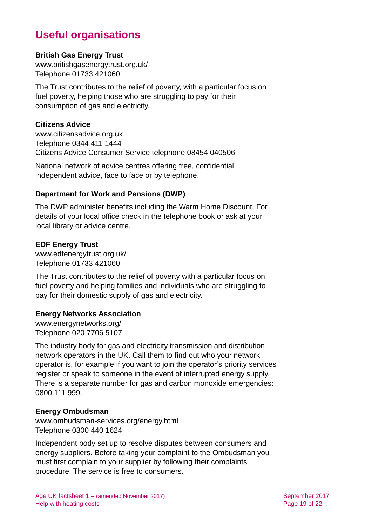# **Useful organisations**

### **British Gas Energy Trust**

[www.britishgasenergytrust.org.uk/](http://www.britishgasenergytrust.org.uk/) Telephone 01733 421060

The Trust contributes to the relief of poverty, with a particular focus on fuel poverty, helping those who are struggling to pay for their consumption of gas and electricity.

### <span id="page-18-0"></span>**Citizens Advice**

[www.citizensadvice.org.uk](http://www.citizensadvice.org.uk/) Telephone 0344 411 1444 Citizens Advice Consumer Service telephone 08454 040506

National network of advice centres offering free, confidential, independent advice, face to face or by telephone.

# **Department for Work and Pensions (DWP)**

The DWP administer benefits including the Warm Home Discount. For details of your local office check in the telephone book or ask at your local library or advice centre.

### **EDF Energy Trust**

[www.edfenergytrust.org.uk/](http://www.edfenergytrust.org.uk/) Telephone 01733 421060

The Trust contributes to the relief of poverty with a particular focus on fuel poverty and helping families and individuals who are struggling to pay for their domestic supply of gas and electricity.

# **Energy Networks Association**

[www.energynetworks.org/](http://www.energynetworks.org/) Telephone 020 7706 5107

The industry body for gas and electricity transmission and distribution network operators in the UK. Call them to find out who your network operator is, for example if you want to join the operator's priority services register or speak to someone in the event of interrupted energy supply. There is a separate number for gas and carbon monoxide emergencies: 0800 111 999.

#### <span id="page-18-1"></span>**Energy Ombudsman**

[www.ombudsman-services.org/energy.html](http://www.ombudsman-services.org/energy.html) Telephone 0300 440 1624

Independent body set up to resolve disputes between consumers and energy suppliers. Before taking your complaint to the Ombudsman you must first complain to your supplier by following their complaints procedure. The service is free to consumers.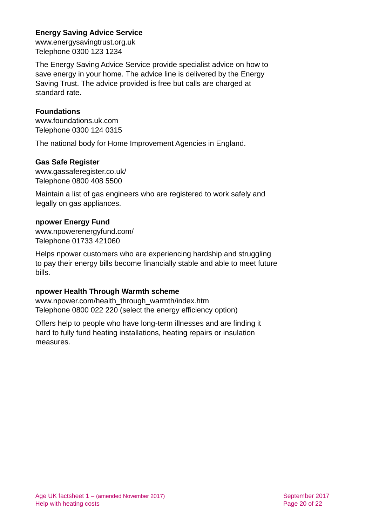# **Energy Saving Advice Service**

[www.energysavingtrust.org.uk](http://www.energysavingtrust.org.uk/) Telephone 0300 123 1234

The Energy Saving Advice Service provide specialist advice on how to save energy in your home. The advice line is delivered by the Energy Saving Trust. The advice provided is free but calls are charged at standard rate.

# <span id="page-19-0"></span>**Foundations**

[www.foundations.uk.com](http://www.foundations.uk.com/) Telephone 0300 124 0315

<span id="page-19-1"></span>The national body for Home Improvement Agencies in England.

# **Gas Safe Register**

[www.gassaferegister.co.uk/](http://www.gassaferegister.co.uk/) Telephone 0800 408 5500

Maintain a list of gas engineers who are registered to work safely and legally on gas appliances.

# **npower Energy Fund**

[www.npowerenergyfund.com/](http://www.npowerenergyfund.com/) Telephone 01733 421060

Helps npower customers who are experiencing hardship and struggling to pay their energy bills become financially stable and able to meet future bills.

# **npower Health Through Warmth scheme**

[www.npower.com/health\\_through\\_warmth/index.htm](http://www.npower.com/health_through_warmth/index.htm) Telephone 0800 022 220 (select the energy efficiency option)

Offers help to people who have long-term illnesses and are finding it hard to fully fund heating installations, heating repairs or insulation measures.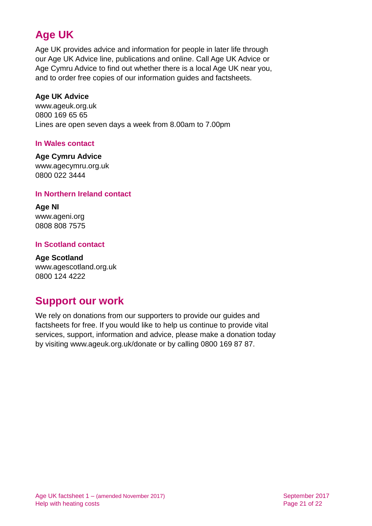# **Age UK**

Age UK provides advice and information for people in later life through our Age UK Advice line, publications and online. Call Age UK Advice or Age Cymru Advice to find out whether there is a local Age UK near you, and to order free copies of our information guides and factsheets.

# <span id="page-20-0"></span>**Age UK Advice**

[www.ageuk.org.uk](http://www.ageuk.org.uk/) 0800 169 65 65 Lines are open seven days a week from 8.00am to 7.00pm

# **In Wales contact**

### **Age Cymru Advice**

[www.agecymru.org.uk](http://www.agecymru.org.uk/) 0800 022 3444

# **In Northern Ireland contact**

**Age NI** [www.ageni.org](http://www.ageni.org/) 0808 808 7575

# **In Scotland contact**

<span id="page-20-1"></span>**Age Scotland** [www.agescotland.org.uk](http://www.agescotland.org.uk/) 0800 124 4222

# **Support our work**

We rely on donations from our supporters to provide our guides and factsheets for free. If you would like to help us continue to provide vital services, support, information and advice, please make a donation today by visiting [www.ageuk.org.uk/donate](http://www.ageuk.org.uk/donate) or by calling 0800 169 87 87.